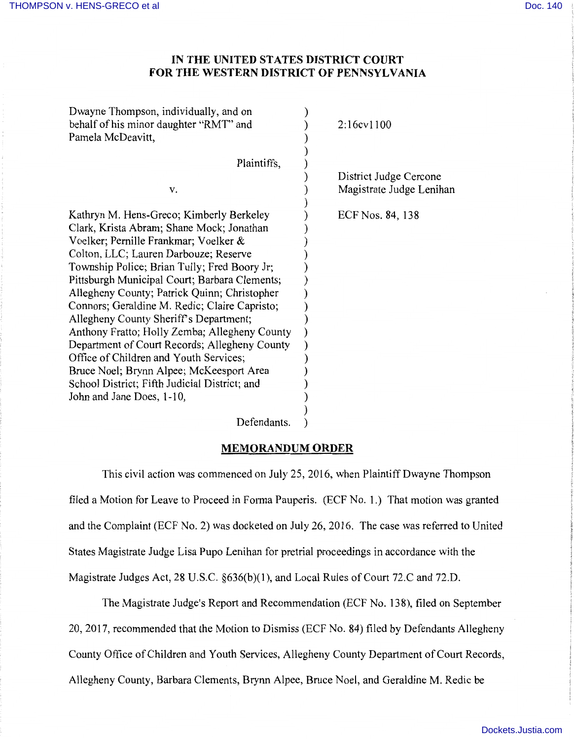## **IN THE UNITED STATES DISTRICT COURT FOR THE WESTERN DISTRICT OF PENNSYLVANIA**

| Dwayne Thompson, individually, and on<br>behalf of his minor daughter "RMT" and                                                                                                                                                                                                                                                                                                                                                                                                                                                                                                                                                                                                           | 2:16cv1100               |
|-------------------------------------------------------------------------------------------------------------------------------------------------------------------------------------------------------------------------------------------------------------------------------------------------------------------------------------------------------------------------------------------------------------------------------------------------------------------------------------------------------------------------------------------------------------------------------------------------------------------------------------------------------------------------------------------|--------------------------|
| Pamela McDeavitt,                                                                                                                                                                                                                                                                                                                                                                                                                                                                                                                                                                                                                                                                         |                          |
| Plaintiffs,                                                                                                                                                                                                                                                                                                                                                                                                                                                                                                                                                                                                                                                                               | District Judge Cercone   |
| V.                                                                                                                                                                                                                                                                                                                                                                                                                                                                                                                                                                                                                                                                                        | Magistrate Judge Lenihan |
| Kathryn M. Hens-Greco; Kimberly Berkeley<br>Clark, Krista Abram; Shane Mock; Jonathan<br>Voelker; Pernille Frankmar; Voelker &<br>Colton, LLC; Lauren Darbouze; Reserve<br>Township Police; Brian Tully; Fred Boory Jr;<br>Pittsburgh Municipal Court; Barbara Clements;<br>Allegheny County; Patrick Quinn; Christopher<br>Connors; Geraldine M. Redic; Claire Capristo;<br>Allegheny County Sheriff's Department;<br>Anthony Fratto; Holly Zemba; Allegheny County<br>Department of Court Records; Allegheny County<br>Office of Children and Youth Services;<br>Bruce Noel; Brynn Alpee; McKeesport Area<br>School District; Fifth Judicial District; and<br>John and Jane Does, 1-10, | ECF Nos. 84, 138         |
|                                                                                                                                                                                                                                                                                                                                                                                                                                                                                                                                                                                                                                                                                           |                          |

Defendants. )

## **MEMORANDUM ORDER**

This civil action was commenced on July 25, 2016, when Plaintiff Dwayne Thompson filed a Motion for Leave to Proceed in Forma Pauperis. (ECF No. 1.) That motion was granted and the Complaint (ECF No. 2) was docketed on July 26, 2016. The case was referred to United States Magistrate Judge Lisa Pupo Lenihan for pretrial proceedings in accordance with the Magistrate Judges Act, 28 U.S.C. §636(b)(l), and Local Rules of Court 72.C and 72.D.

The Magistrate Judge's Report and Recommendation (ECF No. 138), filed on September 20, 2017, recommended that the Motion to Dismiss (ECF No. 84) filed by Defendants Allegheny County Office of Children and Youth Services, Allegheny County Department of Court Records, Allegheny County, Barbara Clements, Brynn Alpee, Bruce Noel, and Geraldine M. Redic be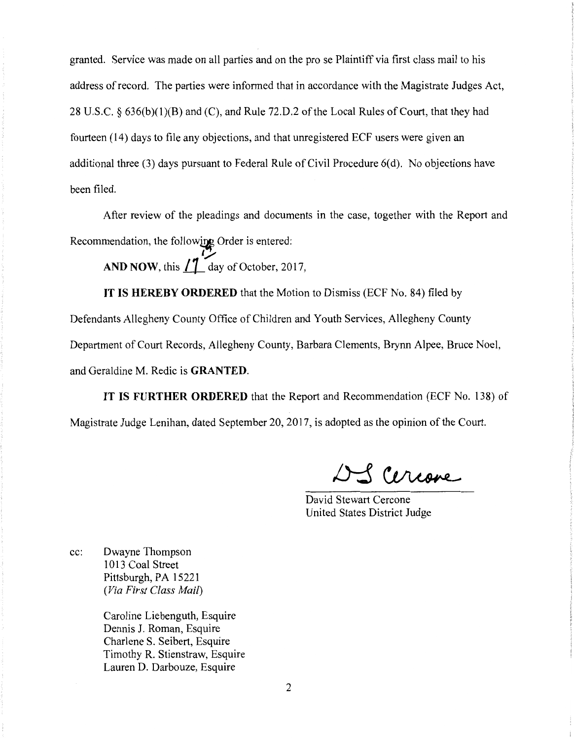granted. Service was made on all parties and on the pro se Plaintiff via first class mail to his address of record. The parties were informed that in accordance with the Magistrate Judges Act, 28 U.S.C. § 636(b)(l)(B) and (C), and Rule 72.D.2 of the Local Rules of Court, that they had fourteen (14) days to file any objections, and that unregistered ECF users were given an additional three (3) days pursuant to Federal Rule of Civil Procedure 6(d). No objections have been filed.

After review of the pleadings and documents in the case, together with the Report and Recommendation, the following Order is entered:<br>AND NOW this  $\frac{1}{2}$  day of October 20

**AND NOW, this**  $\int_0^{\pi}$  **day of October, 2017,** 

**IT IS HEREBY ORDERED** that the Motion to Dismiss (ECF No. 84) filed by

Defendants Allegheny County Office of Children and Youth Services, Allegheny County Department of Court Records, Allegheny County, Barbara Clements, Brynn Alpee, Bruce Noel, and Geraldine M. Redic is **GRANTED.** 

**IT IS FURTHER ORDERED** that the Report and Recommendation (ECF No. 138) of Magistrate Judge Lenihan, dated September 20, 2017, is adopted as the opinion of the Court.

Sceriare

- i

David Stewart Cercone United States District Judge

cc: Dwayne Thompson 1013 Coal Street Pittsburgh, PA 15221 *(Via First Class Mail)* 

> Caroline Liebenguth, Esquire Dennis J. Roman, Esquire Charlene S. Seibert, Esquire Timothy R. Stienstraw, Esquire Lauren D. Darbouze, Esquire